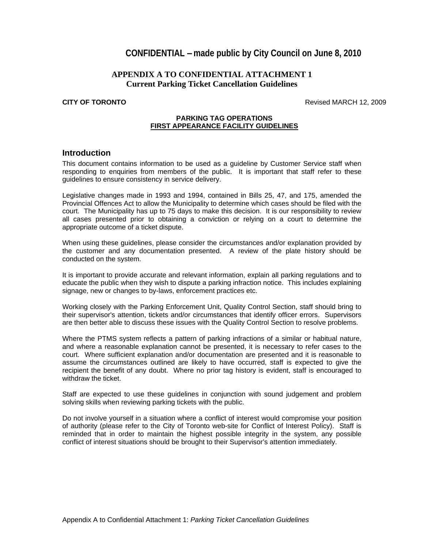# **CONFIDENTIAL –made public by City Council on June 8, 2010**

## **APPENDIX A TO CONFIDENTIAL ATTACHMENT 1 Current Parking Ticket Cancellation Guidelines**

**CITY OF TORONTO** Revised MARCH 12, 2009

### **PARKING TAG OPERATIONS FIRST APPEARANCE FACILITY GUIDELINES**

## **Introduction**

This document contains information to be used as a guideline by Customer Service staff when responding to enquiries from members of the public. It is important that staff refer to these guidelines to ensure consistency in service delivery.

Legislative changes made in 1993 and 1994, contained in Bills 25, 47, and 175, amended the Provincial Offences Act to allow the Municipality to determine which cases should be filed with the court. The Municipality has up to 75 days to make this decision. It is our responsibility to review all cases presented prior to obtaining a conviction or relying on a court to determine the appropriate outcome of a ticket dispute.

When using these guidelines, please consider the circumstances and/or explanation provided by the customer and any documentation presented. A review of the plate history should be conducted on the system.

It is important to provide accurate and relevant information, explain all parking regulations and to educate the public when they wish to dispute a parking infraction notice. This includes explaining signage, new or changes to by-laws, enforcement practices etc.

Working closely with the Parking Enforcement Unit, Quality Control Section, staff should bring to their supervisor's attention, tickets and/or circumstances that identify officer errors. Supervisors are then better able to discuss these issues with the Quality Control Section to resolve problems.

Where the PTMS system reflects a pattern of parking infractions of a similar or habitual nature, and where a reasonable explanation cannot be presented, it is necessary to refer cases to the court. Where sufficient explanation and/or documentation are presented and it is reasonable to assume the circumstances outlined are likely to have occurred, staff is expected to give the recipient the benefit of any doubt. Where no prior tag history is evident, staff is encouraged to withdraw the ticket. **Example 20** is a set of the set of the set of the set of the set of the set of the set of the set of the set of the set of the set of the set of the set of the set of the set of the set of the set of

Staff are expected to use these guidelines in conjunction with sound judgement and problem solving skills when reviewing parking tickets with the public.

Do not involve yourself in a situation where a conflict of interest would compromise your position of authority (please refer to the City of Toronto web-site for Conflict of Interest Policy). Staff is reminded that in order to maintain the highest possible integrity in the system, any possible conflict of interest situations should be brought to their Supervisor's attention immediately.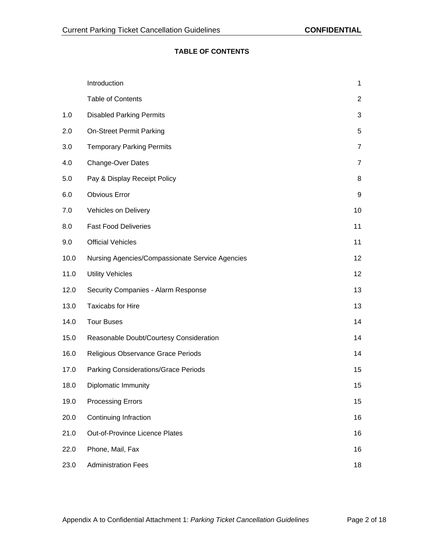## **TABLE OF CONTENTS**

|     | Introduction                                         |                 |  |
|-----|------------------------------------------------------|-----------------|--|
|     | <b>Table of Contents</b>                             |                 |  |
| 1.0 | <b>Disabled Parking Permits</b>                      |                 |  |
| 2.0 | <b>On-Street Permit Parking</b>                      |                 |  |
| 3.0 | <b>Temporary Parking Permits</b>                     |                 |  |
| 4.0 | <b>Change-Over Dates</b>                             |                 |  |
| 5.0 | Pay & Display Receipt Policy                         |                 |  |
| 6.0 | <b>Obvious Error</b>                                 | -9              |  |
| 7.0 | Vehicles on Delivery                                 | 10 <sup>1</sup> |  |
| 8.0 | <b>Fast Food Deliveries</b>                          | 11              |  |
| 9.0 | <b>Official Vehicles</b>                             | 11              |  |
|     | 10.0 Nursing Agencies/Compassionate Service Agencies | 12              |  |
|     | 11.0 Utility Vehicles                                | 12              |  |
|     | 12.0 Security Companies - Alarm Response             | 13              |  |
|     | 13.0 Taxicabs for Hire                               | 13              |  |
|     | 14.0 Tour Buses                                      | 14              |  |
|     | 15.0 Reasonable Doubt/Courtesy Consideration         | 14              |  |
|     | 16.0 Religious Observance Grace Periods              | 14              |  |
|     | 17.0 Parking Considerations/Grace Periods            | 15              |  |
|     | 18.0 Diplomatic Immunity                             | 15              |  |
|     | 19.0 Processing Errors                               | 15              |  |
|     | 20.0 Continuing Infraction                           | 16              |  |
|     | 21.0 Out-of-Province Licence Plates                  | 16              |  |
|     | 22.0 Phone, Mail, Fax                                | 16              |  |
|     | 23.0 Administration Fees                             | 18              |  |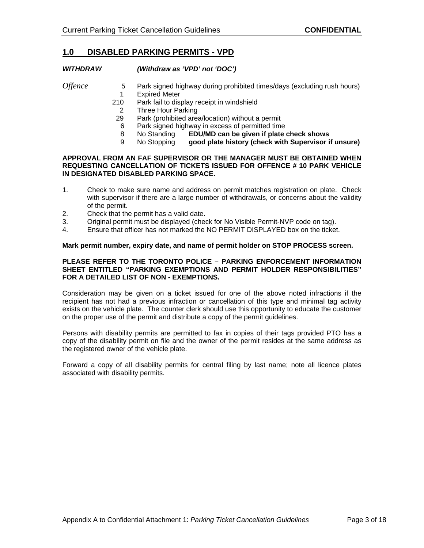## **1.0 DISABLED PARKING PERMITS - VPD**

## **WITHDRAW (Withdraw as 'VPD' not 'DOC')**

- *Offence* 5 Park signed highway during prohibited times/days (excluding rush hours)<br>1 Expired Meter 1 Expired Meter
	- 210 Park fail to display receipt in windshield<br>2 Three Hour Parking
	- 2 Three Hour Parking
	- 29 Park (prohibited area/location) without a permit
	- 6 Park signed highway in excess of permitted time
	- 8 No Standing **EDU/MD can be given if plate check shows**
	- 9 No Stopping **good plate history (check with Supervisor if unsure)**

## **APPROVAL FROM AN FAF SUPERVISOR OR THE MANAGER MUST BE OBTAINED WHEN REQUESTING CANCELLATION OF TICKETS ISSUED FOR OFFENCE # 10 PARK VEHICLE IN DESIGNATED DISABLED PARKING SPACE.**

- 1. Check to make sure name and address on permit matches registration on plate. Check with supervisor if there are a large number of withdrawals, or concerns about the validity of the permit.
- 2. Check that the permit has a valid date.
- 3. Original permit must be displayed (check for No Visible Permit-NVP code on tag).
- 4. Ensure that officer has not marked the NO PERMIT DISPLAYED box on the ticket.

### **Mark permit number, expiry date, and name of permit holder on STOP PROCESS screen.**

#### **PLEASE REFER TO THE TORONTO POLICE – PARKING ENFORCEMENT INFORMATION SHEET ENTITLED "PARKING EXEMPTIONS AND PERMIT HOLDER RESPONSIBILITIES" FOR A DETAILED LIST OF NON - EXEMPTIONS.**

Consideration may be given on a ticket issued for one of the above noted infractions if the recipient has not had a previous infraction or cancellation of this type and minimal tag activity exists on the vehicle plate. The counter clerk should use this opportunity to educate the customer on the proper use of the permit and distribute a copy of the permit guidelines.

Persons with disability permits are permitted to fax in copies of their tags provided PTO has a copy of the disability permit on file and the owner of the permit resides at the same address as the registered owner of the vehicle plate.

Forward a copy of all disability permits for central filing by last name; note all licence plates associated with disability permits.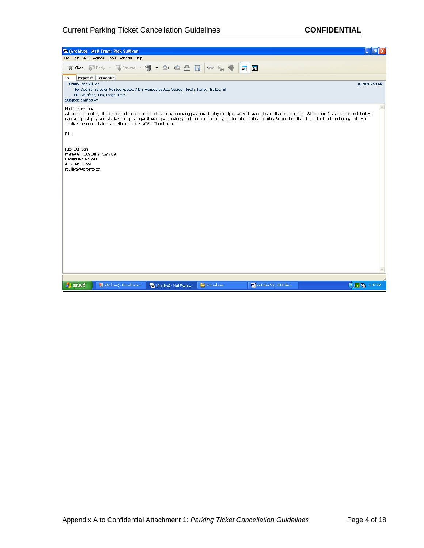## Current Parking Ticket Cancellation Guidelines **CONFIDENTIAL**

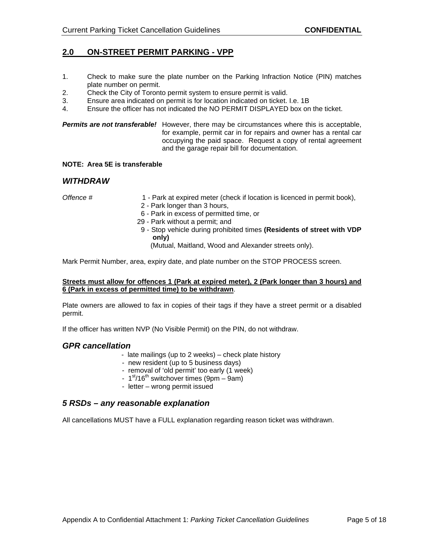## **2.0 ON-STREET PERMIT PARKING - VPP**

- 1. Check to make sure the plate number on the Parking Infraction Notice (PIN) matches plate number on permit.
- 2. Check the City of Toronto permit system to ensure permit is valid.
- 3. Ensure area indicated on permit is for location indicated on ticket. I.e. 1B
- 4. Ensure the officer has not indicated the NO PERMIT DISPLAYED box on the ticket.

### **Permits are not transferable!** However, there may be circumstances where this is acceptable, for example, permit car in for repairs and owner has a rental car occupying the paid space. Request a copy of rental agreement and the garage repair bill for documentation.

## **NOTE: Area 5E is transferable**

## **WITHDRAW**

- Offence # 1 Park at expired meter (check if location is licenced in permit book),
	- 2 Park longer than 3 hours,
	- 6 Park in excess of permitted time, or
	- 29 Park without a permit; and
	- 9 Stop vehicle during prohibited times **(Residents of street with VDP only)**

(Mutual, Maitland, Wood and Alexander streets only).

Mark Permit Number, area, expiry date, and plate number on the STOP PROCESS screen.

### **Streets must allow for offences 1 (Park at expired meter), 2 (Park longer than 3 hours) and 6 (Park in excess of permitted time) to be withdrawn**.

Plate owners are allowed to fax in copies of their tags if they have a street permit or a disabled permit. The contract of the contract of the contract of the contract of the contract of the contract of the contract of the contract of the contract of the contract of the contract of the contract of the contract of the co

If the officer has written NVP (No Visible Permit) on the PIN, do not withdraw.

### **GPR cancellation**

- late mailings (up to 2 weeks) check plate history
- new resident (up to 5 business days)
- removal of 'old permit' too early (1 week)
- $-1<sup>st</sup>/16<sup>th</sup>$  switchover times (9pm 9am)
- letter wrong permit issued

## **5 RSDs – any reasonable explanation**

All cancellations MUST have a FULL explanation regarding reason ticket was withdrawn.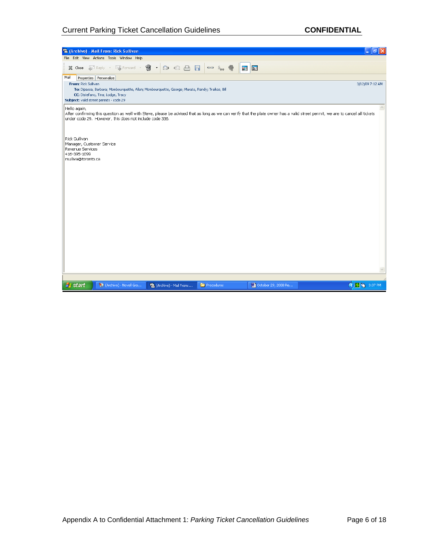# Current Parking Ticket Cancellation Guidelines **CONFIDENTIAL**

| 是 (Archive) - Mail From: Rick Sullivan                                                                                                                                                                                                                     | la                 |
|------------------------------------------------------------------------------------------------------------------------------------------------------------------------------------------------------------------------------------------------------------|--------------------|
| File Edit View Actions Tools Window Help                                                                                                                                                                                                                   |                    |
| $\mathfrak{F} \cdot \mathfrak{D} \otimes \mathfrak{S} \quad \blacksquare \quad \blacksquare \quad \blacksquare \quad \blacksquare$<br>X Close & Reply + & Forward +<br>同国                                                                                  |                    |
| Mail<br>Properties Personalize<br>From: Rick Sullivan<br>To: Dipassa, Barbara; Mombourquette, Allan; Mombourquette, George; Murata, Randy; Traikos, Bill                                                                                                   | 3/12/09 7:12 AM    |
| CC: Distefano, Tina; Lodge, Tracy<br>Subject: valid street permits - code 29                                                                                                                                                                               |                    |
| Hello again,<br>After confirming this question as well with Steve, please be advised that as long as we can verify that the plate owner has a valid street permit, we are to cancel all tickets<br>under code 29. However, this does not include code 336. |                    |
| Rick Sullivan<br>Manager, Customer Service<br>Revenue Services<br>416-395-1099<br>rsulliva@toronto.ca                                                                                                                                                      |                    |
|                                                                                                                                                                                                                                                            |                    |
|                                                                                                                                                                                                                                                            |                    |
|                                                                                                                                                                                                                                                            |                    |
|                                                                                                                                                                                                                                                            |                    |
|                                                                                                                                                                                                                                                            |                    |
|                                                                                                                                                                                                                                                            |                    |
| (Archive) - Novell Gro<br><b>A</b> start<br>Procedures<br><b>M</b> October 29, 2008 Re<br>最 (Archive) - Mail From:                                                                                                                                         | <b>◆ 5 3:37 PM</b> |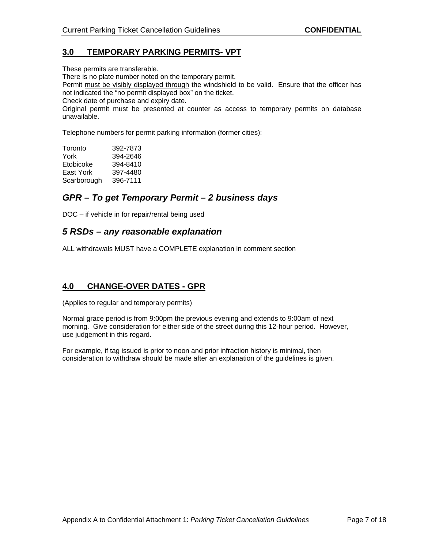# **3.0 TEMPORARY PARKING PERMITS- VPT**

These permits are transferable.

There is no plate number noted on the temporary permit.

Permit must be visibly displayed through the windshield to be valid. Ensure that the officer has not indicated the "no permit displayed box" on the ticket.

Check date of purchase and expiry date.

Original permit must be presented at counter as access to temporary permits on database unavailable.

Telephone numbers for permit parking information (former cities):

| Toronto     |                                  |  |
|-------------|----------------------------------|--|
| York        |                                  |  |
| Etobicoke   | 392-7873<br>394-2646<br>394-8410 |  |
| East York   | 397-4480<br>396-7111             |  |
| Scarborough |                                  |  |

# **GPR – To get Temporary Permit – 2 business days**

DOC – if vehicle in for repair/rental being used

# **5 RSDs – any reasonable explanation**

ALL withdrawals MUST have a COMPLETE explanation in comment section

## **4.0 CHANGE-OVER DATES - GPR**

(Applies to regular and temporary permits)

Normal grace period is from 9:00pm the previous evening and extends to 9:00am of next morning. Give consideration for either side of the street during this 12-hour period. However, use judgement in this regard.

For example, if tag issued is prior to noon and prior infraction history is minimal, then consideration to withdraw should be made after an explanation of the guidelines is given.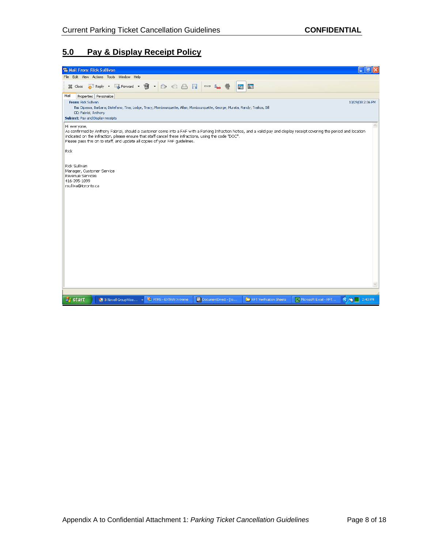# **5.0 Pay & Display Receipt Policy**

| <b>&amp; Mail From: Rick Sullivan</b><br>u.                                                                                                                                                                                                                                                                                                                                               | l∂∥× |
|-------------------------------------------------------------------------------------------------------------------------------------------------------------------------------------------------------------------------------------------------------------------------------------------------------------------------------------------------------------------------------------------|------|
| File Edit View Actions Tools Window Help                                                                                                                                                                                                                                                                                                                                                  |      |
| FiReply ・ 写 Forward ・ 曾 ・ 2 2 2 日 日<br>5 3<br>$\sim$ $\frac{6}{100}$<br>X Close                                                                                                                                                                                                                                                                                                           |      |
| Mail<br>Properties Personalize<br>From: Rick Sullivan<br>10/29/08 2:36 PM<br>To: Dipassa, Barbara; Distefano, Tina; Lodge, Tracy; Mombourquette, Allan; Mombourquette, George; Murata, Randy; Traikos, Bill<br>CC: Fabrizi, Anthony<br>Subject: Pay and Display receipts                                                                                                                  |      |
| Hi everyone,<br>As confirmed by Anthony Fabrizi, should a customer come into a FAF with a Parking Infraction Notice, and a valid pay and display receipt covering the period and location<br>indicated on the infraction, please ensure that staff cancel these infractions, using the code "DOC".<br>Please pass this on to staff, and update all copies of your FAF quidelines.<br>Rick |      |
| Rick Sullivan<br>Manager, Customer Service<br>Revenue Services<br>416-395-1099<br>rsulliva@toronto.ca                                                                                                                                                                                                                                                                                     |      |
| $\bigcirc$ $\bigcirc$ $\bigcirc$ 2:40 PM<br><b>19 3 Novell GroupWise Extra ALLACTION</b> PTMS - EXTRA! X-treme<br><b>P</b> start<br>MO DocumentDirect - [to<br>RFT Verification Sheets<br>Microsoft Excel - RFT                                                                                                                                                                           |      |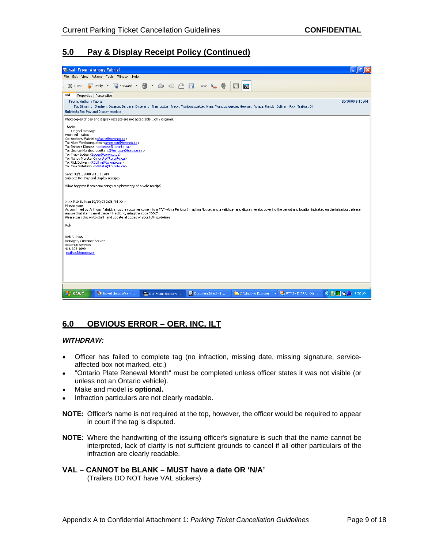# **5.0 Pay & Display Receipt Policy (Continued)**

| & Mail From: Anthony Fabrizi                                                                                                                                                                                                                                                                                                                                                                                                                                  |                                                                                                                                                  |                    |                               |        |                    |                                                                                                                                                                  |                                                                                                                                                                                                               | ð                |
|---------------------------------------------------------------------------------------------------------------------------------------------------------------------------------------------------------------------------------------------------------------------------------------------------------------------------------------------------------------------------------------------------------------------------------------------------------------|--------------------------------------------------------------------------------------------------------------------------------------------------|--------------------|-------------------------------|--------|--------------------|------------------------------------------------------------------------------------------------------------------------------------------------------------------|---------------------------------------------------------------------------------------------------------------------------------------------------------------------------------------------------------------|------------------|
| File Edit View Actions Tools Window Help                                                                                                                                                                                                                                                                                                                                                                                                                      |                                                                                                                                                  |                    |                               |        |                    |                                                                                                                                                                  |                                                                                                                                                                                                               |                  |
| X Close                                                                                                                                                                                                                                                                                                                                                                                                                                                       | FiReply ・ 写 Forward ・ 9 ・ 2 2 2 日 日                                                                                                              |                    | $\sim$ $\sim$ $\sim$          | Ħ<br>囲 |                    |                                                                                                                                                                  |                                                                                                                                                                                                               |                  |
| Mail<br>Properties Personalize<br>From: Anthony Fabrizi                                                                                                                                                                                                                                                                                                                                                                                                       |                                                                                                                                                  |                    |                               |        |                    |                                                                                                                                                                  |                                                                                                                                                                                                               | 10/30/08 9:18 AM |
| Subject: Re: Pay and Display receipts                                                                                                                                                                                                                                                                                                                                                                                                                         |                                                                                                                                                  |                    |                               |        |                    | To: Dimanno, Stephen; Dipassa, Barbara; Distefano, Tina; Lodge, Tracy; Mombourguette, Allan; Mombourguette, George; Murata, Randy; Sullivan, Rick; Traikos, Bill |                                                                                                                                                                                                               |                  |
|                                                                                                                                                                                                                                                                                                                                                                                                                                                               | Photocopies of pay and display receipts are not acceptableonly originals.                                                                        |                    |                               |        |                    |                                                                                                                                                                  |                                                                                                                                                                                                               |                  |
| Thanks<br>-----Original Message-----<br>From: Bill Traikos<br>Cc: Anthony Fabrizi <afabriz@toronto.ca><br/>To: Barbara Dipassa <bdipassa@toronto.ca><br/>To: Tracy Lodge <lodge@toronto.ca><br/>To: Randy Murata <rmurata@toronto.ca><br/>To: Rick Sullivan <rsulliva@toronto.ca><br/>To: Tina Distefano <tdistefa@toronto.ca></tdistefa@toronto.ca></rsulliva@toronto.ca></rmurata@toronto.ca></lodge@toronto.ca></bdipassa@toronto.ca></afabriz@toronto.ca> | To: Allan Mombourquette <amombou@toronto.ca><br/>To: George Mombourguette <gmombour@toronto.ca></gmombour@toronto.ca></amombou@toronto.ca>       |                    |                               |        |                    |                                                                                                                                                                  |                                                                                                                                                                                                               |                  |
| Sent: 30/10/2008 9:10:11 AM<br>Subject: Re: Pay and Display receipts                                                                                                                                                                                                                                                                                                                                                                                          |                                                                                                                                                  |                    |                               |        |                    |                                                                                                                                                                  |                                                                                                                                                                                                               |                  |
|                                                                                                                                                                                                                                                                                                                                                                                                                                                               | What happens if someone brings in a photocopy of a valid receipt?                                                                                |                    |                               |        |                    |                                                                                                                                                                  |                                                                                                                                                                                                               |                  |
| >>> Rick Sullivan 10/29/08 2:36 PM >>><br>Hi everyone.<br><b>Rick</b>                                                                                                                                                                                                                                                                                                                                                                                         | ensure that staff cancel these infractions, using the code "DOC".<br>Please pass this on to staff, and update all copies of your FAF quidelines. |                    |                               |        |                    |                                                                                                                                                                  | As confirmed by Anthony Fabrizi, should a customer come into a FAF with a Parking Infraction Notice, and a valid pay and display receipt covering the period and location indicated on the infraction, please |                  |
| Rick Sullivan<br>Manager, Customer Service<br>Revenue Services<br>416-395-1099<br>rsulliva@toronto.ca                                                                                                                                                                                                                                                                                                                                                         |                                                                                                                                                  |                    |                               |        |                    |                                                                                                                                                                  |                                                                                                                                                                                                               |                  |
|                                                                                                                                                                                                                                                                                                                                                                                                                                                               |                                                                                                                                                  |                    |                               |        |                    |                                                                                                                                                                  |                                                                                                                                                                                                               |                  |
|                                                                                                                                                                                                                                                                                                                                                                                                                                                               |                                                                                                                                                  |                    |                               |        |                    |                                                                                                                                                                  |                                                                                                                                                                                                               |                  |
| <b><i>FF start</i></b>                                                                                                                                                                                                                                                                                                                                                                                                                                        | Novell GroupWise -                                                                                                                               | Mail From: Anthony | <b>iii</b> DocumentDirect - [ |        | 2 Windows Explorer | <b>En PTMS - EXTRA! X-tr</b>                                                                                                                                     | CEFF <sup>'</sup> C 9:58 AM                                                                                                                                                                                   |                  |

# **6.0 OBVIOUS ERROR – OER, INC, ILT**

- **WITHDRAW:** Officer has failed to complete tag (no infraction, missing date, missing signature, service affected box not marked, etc.)
- "Ontario Plate Renewal Month" must be completed unless officer states it was not visible (or  $\bullet$ unless not an Ontario vehicle).
- Make and model is **optional.**
- Infraction particulars are not clearly readable.
- **NOTE:** Officer's name is not required at the top, however, the officer would be required to appear in court if the tag is disputed.
- **NOTE:** Where the handwriting of the issuing officer's signature is such that the name cannot be interpreted, lack of clarity is not sufficient grounds to cancel if all other particulars of the infraction are clearly readable.

#### **VAL – CANNOT be BLANK – MUST have a date OR 'N/A'** (Trailers DO NOT have VAL stickers)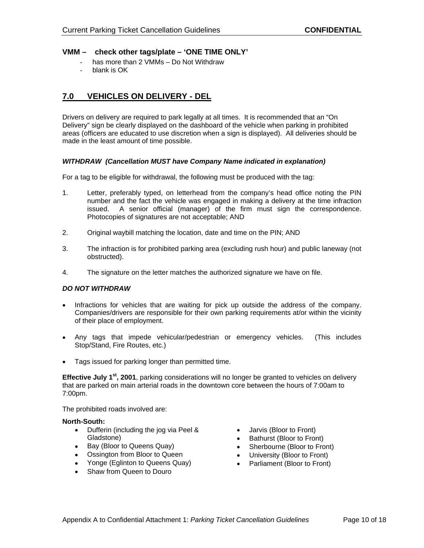## **VMM – check other tags/plate – 'ONE TIME ONLY'**

- has more than 2 VMMs Do Not Withdraw
- blank is OK

# **7.0 VEHICLES ON DELIVERY - DEL**

Drivers on delivery are required to park legally at all times. It is recommended that an "On Delivery" sign be clearly displayed on the dashboard of the vehicle when parking in prohibited areas (officers are educated to use discretion when a sign is displayed). All deliveries should be made in the least amount of time possible.

#### **WITHDRAW (Cancellation MUST have Company Name indicated in explanation)**

For a tag to be eligible for withdrawal, the following must be produced with the tag:

- 1. Letter, preferably typed, on letterhead from the company's head office noting the PIN number and the fact the vehicle was engaged in making a delivery at the time infraction issued. A senior official (manager) of the firm must sign the correspondence. Photocopies of signatures are not acceptable; AND
- 2. Original waybill matching the location, date and time on the PIN; AND
- 3. The infraction is for prohibited parking area (excluding rush hour) and public laneway (not obstructed). The contract of the contract of the contract of the contract of the contract of the contract of the contract of the contract of the contract of the contract of the contract of the contract of the contract of t
- 4. The signature on the letter matches the authorized signature we have on file.

### **DO NOT WITHDRAW**

- Infractions for vehicles that are waiting for pick up outside the address of the company.Companies/drivers are responsible for their own parking requirements at/or within the vicinity of their place of employment.
- Any tags that impede vehicular/pedestrian or emergency vehicles. (This includes Stop/Stand, Fire Routes, etc.)
- Tags issued for parking longer than permitted time.

**Effective July 1st , 2001**, parking considerations will no longer be granted to vehicles on delivery that are parked on main arterial roads in the downtown core between the hours of 7:00am to 7:00pm.

The prohibited roads involved are:

#### **North-South:**

- Dufferin (including the jog via Peel & Gladstone) Bathurst (Bloor to Front)
- 
- Ossington from Bloor to Queen
- Yonge (Eglinton to Queens Quay) Parliament (Bloor to Front)
- Shaw from Queen to Douro
- Jarvis (Bloor to Front)
- 
- Bay (Bloor to Queens Quay) Sherbourne (Bloor to Front)
	- University (Bloor to Front)
	-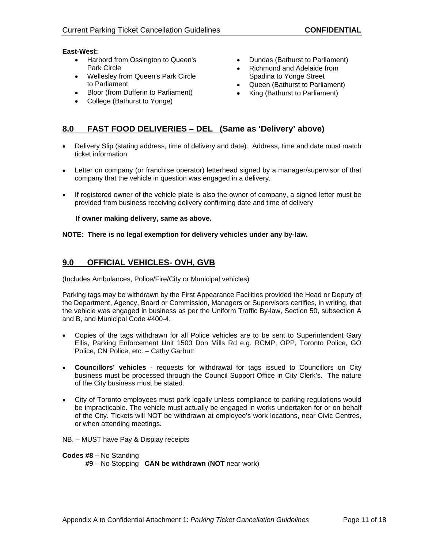## **East-West:**

- Harbord from Ossington to Queen's Park Circle **Example 20 CONFIDENT CONTROL •** Richmond and Adelaide from
- Wellesley from Queen's Park Circle
- Bloor (from Dufferin to Parliament)
- College (Bathurst to Yonge)
- Dundas (Bathurst to Parliament)
- Spadina to Yonge Street
- to Parliament Queen (Bathurst to Parliament)
	- King (Bathurst to Parliament)

# **8.0 FAST FOOD DELIVERIES – DEL (Same as 'Delivery' above)**

- Delivery Slip (stating address, time of delivery and date). Address, time and date must match ticket information.
- Letter on company (or franchise operator) letterhead signed by a manager/supervisor of that company that the vehicle in question was engaged in a delivery.
- If registered owner of the vehicle plate is also the owner of company, a signed letter must be provided from business receiving delivery confirming date and time of delivery

 **If owner making delivery, same as above.**

## **NOTE: There is no legal exemption for delivery vehicles under any by-law.**

# **9.0 OFFICIAL VEHICLES- OVH, GVB**

(Includes Ambulances, Police/Fire/City or Municipal vehicles)

Parking tags may be withdrawn by the First Appearance Facilities provided the Head or Deputy of the Department, Agency, Board or Commission, Managers or Supervisors certifies, in writing, that the vehicle was engaged in business as per the Uniform Traffic By-law, Section 50, subsection A and B, and Municipal Code #400-4.

- Copies of the tags withdrawn for all Police vehicles are to be sent to Superintendent Gary  $\bullet$ Ellis, Parking Enforcement Unit 1500 Don Mills Rd e.g. RCMP, OPP, Toronto Police, GO Police, CN Police, etc. – Cathy Garbutt
- **Councillors' vehicles** requests for withdrawal for tags issued to Councillors on City business must be processed through the Council Support Office in City Clerk's. The nature of the City business must be stated.
- City of Toronto employees must park legally unless compliance to parking regulations would be impracticable. The vehicle must actually be engaged in works undertaken for or on behalf of the City. Tickets will NOT be withdrawn at employee'swork locations, near Civic Centres, or when attending meetings.
- NB. MUST have Pay & Display receipts

## **Codes #8 –** No Standing

**#9** – No Stopping **CAN be withdrawn** (**NOT** near work)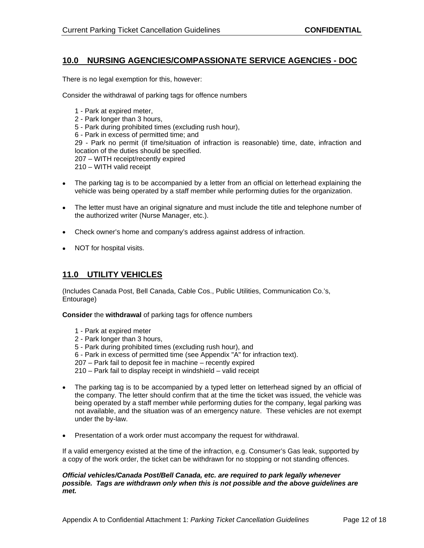# **10.0 NURSING AGENCIES/COMPASSIONATE SERVICE AGENCIES - DOC**

There is no legal exemption for this, however:

Consider the withdrawal of parking tags for offence numbers

1 - Park at expired meter, 2 - Park longer than 3 hours, 5 - Park during prohibited times (excluding rush hour), 6 - Park in excess of permitted time; and 29 - Park no permit (if time/situation of infraction is reasonable) time, date, infraction and location of the duties should be specified. 207 – WITH receipt/recently expired 210 – WITH valid receipt

- The parking tag is to be accompanied by a letter from an official on letterhead explaining the vehicle was being operated by a staff member while performing duties for the organization.
- The letter must have an original signature and must include the title and telephone number of the authorized writer (Nurse Manager, etc.).
- Check owner's home and company's address against address of infraction.
- NOT for hospital visits.

# **11.0 UTILITY VEHICLES**

(Includes Canada Post, Bell Canada, Cable Cos., Public Utilities, Communication Co.'s, Entourage)

**Consider** the **withdrawal** of parking tags for offence numbers

- 1 Park at expired meter
- 2 Park longer than 3 hours,
- 5 Park during prohibited times (excluding rush hour), and
- 6 Park in excess of permitted time (see Appendix "A" for infraction text).

207 – Park fail to deposit fee in machine – recently expired

210 – Park fail to display receipt in windshield – valid receipt

- The parking tag is to be accompanied by a typed letter on letterhead signed by an official of  $\bullet$ the company. The letter should confirm that at the time the ticket was issued, the vehicle was being operated by a staff member while performing duties for the company, legal parking was not available, and the situation was of an emergency nature. These vehicles are not exempt under the by-law.
- Presentation of a work order must accompany the request for withdrawal.

If a valid emergency existed at the time of the infraction, e.g. Consumer's Gas leak, supported by a copy of the work order, the ticket can be withdrawn for no stopping or not standing offences.

### **Official vehicles/Canada Post/Bell Canada, etc. are required to park legally whenever possible. Tags are withdrawn only when this is not possible and the above guidelines are met.**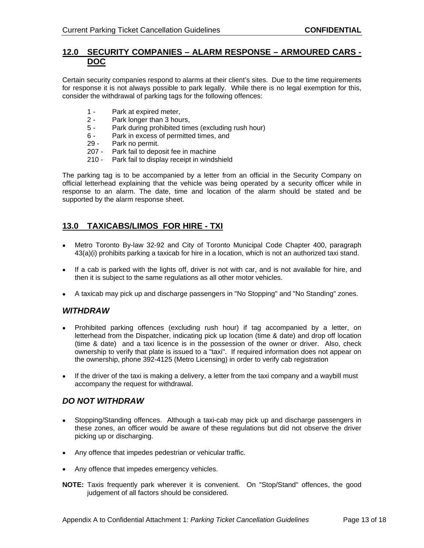## **12.0 SECURITY COMPANIES – ALARM RESPONSE – ARMOURED CARS - DOC**

Certain security companies respond to alarms at their client's sites. Due to the time requirements for response it is not always possible to park legally. While there is no legal exemption for this, consider the withdrawal of parking tags for the following offences:

- 1 Park at expired meter,
- 2 Park longer than 3 hours,
- 5 Park during prohibited times (excluding rush hour)
- 6 Park in excess of permitted times, and
- 29 Park no permit.
- 207 Park fail to deposit fee in machine
- 210 Park fail to display receipt in windshield

The parking tag is to be accompanied by a letter from an official in the Security Company on official letterhead explaining that the vehicle was being operated by a security officer while in response to an alarm. The date, time and location of the alarm should be stated and be supported by the alarm response sheet.

# **13.0 TAXICABS/LIMOS FOR HIRE - TXI**

- Metro Toronto By-law 32-92 and City of Toronto Municipal Code Chapter 400, paragraph 43(a)(i) prohibits parking a taxicab for hire in a location, which is not an authorized taxi stand.
- If a cab is parked with the lights off, driver is not with car, and is not available for hire, and then it is subject to the same regulations as all other motor vehicles.
- A taxicab may pick up and discharge passengers in "No Stopping" and "No Standing" zones.

# **WITHDRAW**

- Prohibited parking offences (excluding rush hour) if tag accompanied by a letter, on letterhead from the Dispatcher, indicating pick up location (time & date) and drop off location (time & date) and a taxi licence is in the possession of the owner or driver. Also, check ownership to verify that plate is issued to a "taxi". If required information does not appear on the ownership, phone 392-4125 (Metro Licensing) in order to verify cab registration
- $\bullet$  If the driver of the taxi is making a delivery, a letter from the taxi company and a waybill must accompany the request for withdrawal.

# **DO NOT WITHDRAW**

- Stopping/Standing offences. Although a taxi-cab may pick up and discharge passengers in these zones, an officer would be aware of these regulations but did not observe the driver picking up or discharging.
- Any offence that impedes pedestrian or vehicular traffic.
- Any offence that impedes emergency vehicles.
- **NOTE:** Taxis frequently park wherever it is convenient. On "Stop/Stand" offences, the good judgement of all factors should be considered.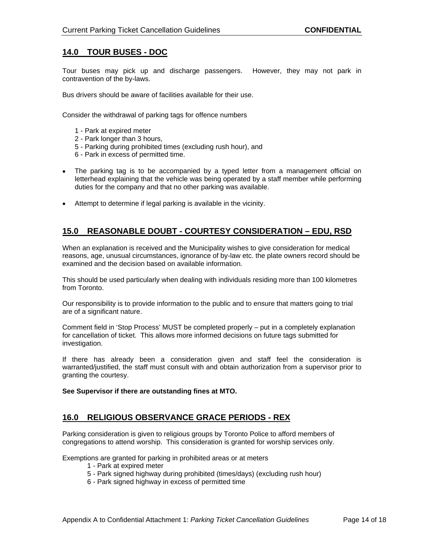# **14.0 TOUR BUSES - DOC**

Tour buses may pick up and discharge passengers. However, they may not park in contravention of the by-laws.

Bus drivers should be aware of facilities available for their use.

Consider the withdrawal of parking tags for offence numbers

- 1 Park at expired meter
- 2 Park longer than 3 hours,
- 5 Parking during prohibited times (excluding rush hour), and
- 6 Park in excess of permitted time.
- The parking tag is to be accompanied by a typed letter from a management official on letterhead explaining that the vehicle was being operated by a staff member while performing duties for the company and that no other parking was available.
- Attempt to determine if legal parking is available in the vicinity.

# **15.0 REASONABLE DOUBT - COURTESY CONSIDERATION – EDU, RSD**

When an explanation is received and the Municipality wishes to give consideration for medical reasons, age, unusual circumstances, ignorance of by-law etc. the plate owners record should be examined and the decision based on available information.

This should be used particularly when dealing with individuals residing more than 100 kilometres from Toronto.

Our responsibility is to provide information to the public and to ensure that matters going to trial are of a significant nature.

Comment field in 'Stop Process' MUST be completed properly – put in a completely explanation for cancellation of ticket. This allows more informed decisions on future tags submitted for investigation.

If there has already been a consideration given and staff feel the consideration is warranted/justified, the staff must consult with and obtain authorization from a supervisor prior to granting the courtesy.

**See Supervisor if there are outstanding fines at MTO.**

## **16.0 RELIGIOUS OBSERVANCE GRACE PERIODS - REX**

Parking consideration is given to religious groups by Toronto Police to afford members of congregations to attend worship. This consideration is granted for worship services only.

Exemptions are granted for parking in prohibited areas or at meters

- 1 Park at expired meter
- 5 Park signed highway during prohibited (times/days) (excluding rush hour)
- 6 Park signed highway in excess of permitted time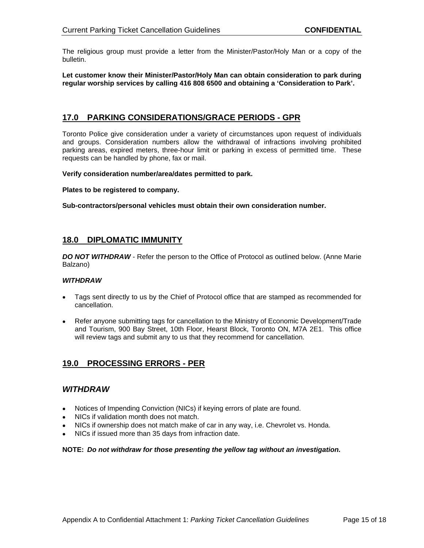The religious group must provide a letter from the Minister/Pastor/Holy Man or a copy of the bulletin. And the contract of the contract of the contract of the contract of the contract of the contract of the contract of the contract of the contract of the contract of the contract of the contract of the contract of

**Let customer know their Minister/Pastor/Holy Man can obtain consideration to park during regular worship services by calling 416 808 6500 and obtaining a 'Consideration to Park'.**

## **17.0 PARKING CONSIDERATIONS/GRACE PERIODS - GPR**

Toronto Police give consideration under a variety of circumstances upon request of individuals and groups. Consideration numbers allow the withdrawal of infractions involving prohibited parking areas, expired meters, three-hour limit or parking in excess of permitted time. These requests can be handled by phone, fax or mail.

**Verify consideration number/area/dates permitted to park.**

**Plates to be registered to company.**

**Sub-contractors/personal vehicles must obtain their own consideration number.**

## **18.0 DIPLOMATIC IMMUNITY**

**DO NOT WITHDRAW** - Refer the person to the Office of Protocol as outlined below. (Anne Marie Balzano)

## **WITHDRAW**

- Tags sent directly to us by the Chief of Protocol office that are stamped as recommended for  $\bullet$ cancellation.
- Refer anyone submitting tags for cancellation to the Ministry of Economic Development/Trade and Tourism, 900 Bay Street, 10th Floor, Hearst Block, Toronto ON, M7A 2E1. This office will review tags and submit any to us that they recommend for cancellation.

## **19.0 PROCESSING ERRORS - PER**

## **WITHDRAW**

- Notices of Impending Conviction (NICs) if keying errors of plate are found.  $\bullet$
- NICs if validation month does not match.  $\bullet$
- NICs if ownership does not match make of car in any way, i.e. Chevrolet vs. Honda.
- NICs if issued more than 35 days from infraction date.

#### **NOTE: Do not withdraw for those presenting the yellow tag without an investigation.**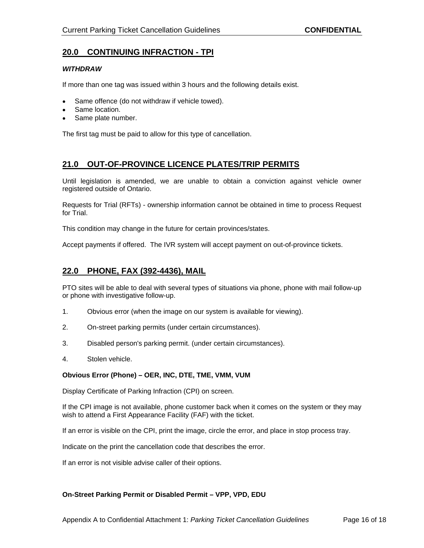# **20.0 CONTINUING INFRACTION - TPI**

## **WITHDRAW**

If more than one tag was issued within 3 hours and the following details exist.

- Same offence (do not withdraw if vehicle towed).
- Same location. **Same location** is a set of the set of the set of the set of the set of the set of the set of the set of the set of the set of the set of the set of the set of the set of the set of the set of the set of the
- Same plate number.

The first tag must be paid to allow for this type of cancellation.

## **21.0 OUT-OF-PROVINCE LICENCE PLATES/TRIP PERMITS**

Until legislation is amended, we are unable to obtain a conviction against vehicle owner registered outside of Ontario.

Requests for Trial (RFTs) - ownership information cannot be obtained in time to process Request for Trial.

This condition may change in the future for certain provinces/states.

Accept payments if offered. The IVR system will accept payment on out-of-province tickets.

# **22.0 PHONE, FAX (392-4436), MAIL**

PTO sites will be able to deal with several types of situations via phone, phone with mail follow-up or phone with investigative follow-up.

- 1. Obvious error (when the image on our system is available for viewing).
- 2. On-street parking permits (under certain circumstances).
- 3. Disabled person's parking permit. (under certain circumstances).
- 4. Stolen vehicle.

### **Obvious Error (Phone) – OER, INC, DTE, TME, VMM, VUM**

Display Certificate of Parking Infraction (CPI) on screen.

If the CPI image is not available, phone customer back when it comes on the system or they may wish to attend a First Appearance Facility (FAF) with the ticket.

If an error is visible on the CPI, print the image, circle the error, and place in stop process tray.

Indicate on the print the cancellation code that describes the error.

If an error is not visible advise caller of their options.

### **On-Street Parking Permit or Disabled Permit – VPP, VPD, EDU**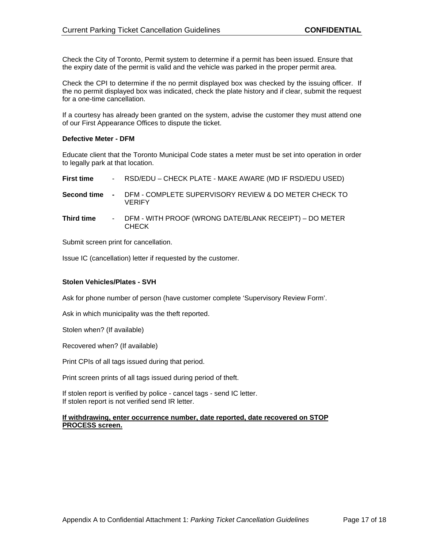Check the City of Toronto, Permit system to determine if a permit has been issued. Ensure that the expiry date of the permit is valid and the vehicle was parked in the proper permit area.

Check the CPI to determine if the no permit displayed box was checked by the issuing officer. If the no permit displayed box was indicated, check the plate history and if clear, submit the request for a one-time cancellation.

If a courtesy has already been granted on the system, advise the customer they must attend one of our First Appearance Offices to dispute the ticket.

## **Defective Meter - DFM**

Educate client that the Toronto Municipal Code states a meter must be set into operation in order to legally park at that location.

| <b>First time</b>  | RSD/EDU – CHECK PLATE - MAKE AWARE (MD IF RSD/EDU USED)                |
|--------------------|------------------------------------------------------------------------|
| <b>Second time</b> | DFM - COMPLETE SUPERVISORY REVIEW & DO METER CHECK TO<br><b>VERIFY</b> |
| <b>Third time</b>  | DFM - WITH PROOF (WRONG DATE/BLANK RECEIPT) – DO METER<br><b>CHECK</b> |

Submit screen print for cancellation.

Issue IC (cancellation) letter if requested by the customer.

## **Stolen Vehicles/Plates - SVH**

Ask for phone number of person (have customer complete 'Supervisory Review Form'.

Ask in which municipality was the theft reported.

Stolen when? (If available)

Recovered when? (If available)

Print CPIs of all tags issued during that period.

Print screen prints of all tags issued during period of theft.

If stolen report is verified by police - cancel tags - send IC letter. If stolen report is not verified send IR letter.

#### **If withdrawing, enter occurrence number, date reported, date recovered on STOP PROCESS screen.**